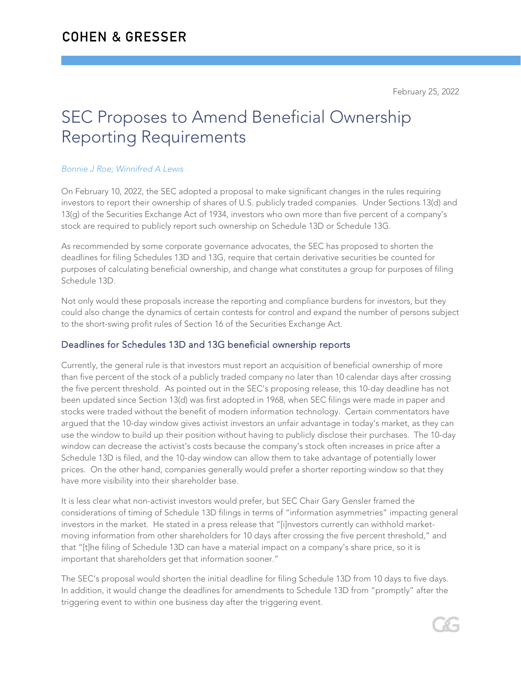# SEC Proposes to Amend Beneficial Ownership Reporting Requirements

#### *Bonnie J Roe; Winnifred A Lewis*

On February 10, 2022, the SEC adopted a proposal to make significant changes in the rules requiring investors to report their ownership of shares of U.S. publicly traded companies. Under Sections 13(d) and 13(g) of the Securities Exchange Act of 1934, investors who own more than five percent of a company's stock are required to publicly report such ownership on Schedule 13D or Schedule 13G.

As recommended by some corporate governance advocates, the SEC has proposed to shorten the deadlines for filing Schedules 13D and 13G, require that certain derivative securities be counted for purposes of calculating beneficial ownership, and change what constitutes a group for purposes of filing Schedule 13D.

Not only would these proposals increase the reporting and compliance burdens for investors, but they could also change the dynamics of certain contests for control and expand the number of persons subject to the short-swing profit rules of Section 16 of the Securities Exchange Act.

### Deadlines for Schedules 13D and 13G beneficial ownership reports

Currently, the general rule is that investors must report an acquisition of beneficial ownership of more than five percent of the stock of a publicly traded company no later than 10 calendar days after crossing the five percent threshold. As pointed out in the SEC's proposing release, this 10-day deadline has not been updated since Section 13(d) was first adopted in 1968, when SEC filings were made in paper and stocks were traded without the benefit of modern information technology. Certain commentators have argued that the 10-day window gives activist investors an unfair advantage in today's market, as they can use the window to build up their position without having to publicly disclose their purchases. The 10-day window can decrease the activist's costs because the company's stock often increases in price after a Schedule 13D is filed, and the 10-day window can allow them to take advantage of potentially lower prices. On the other hand, companies generally would prefer a shorter reporting window so that they have more visibility into their shareholder base.

It is less clear what non-activist investors would prefer, but SEC Chair Gary Gensler framed the considerations of timing of Schedule 13D filings in terms of "information asymmetries" impacting general investors in the market. He stated in a press release that "[i]nvestors currently can withhold marketmoving information from other shareholders for 10 days after crossing the five percent threshold," and that "[t]he filing of Schedule 13D can have a material impact on a company's share price, so it is important that shareholders get that information sooner."

The SEC's proposal would shorten the initial deadline for filing Schedule 13D from 10 days to five days. In addition, it would change the deadlines for amendments to Schedule 13D from "promptly" after the triggering event to within one business day after the triggering event.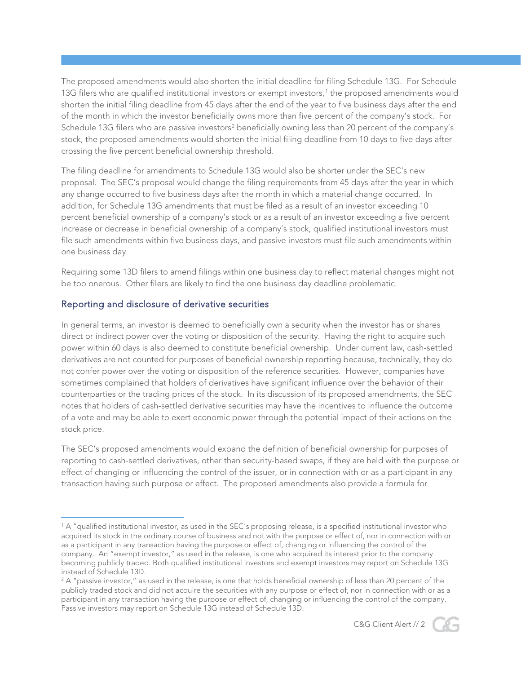The proposed amendments would also shorten the initial deadline for filing Schedule 13G. For Schedule [1](#page-1-0)3G filers who are qualified institutional investors or exempt investors,<sup>1</sup> the proposed amendments would shorten the initial filing deadline from 45 days after the end of the year to five business days after the end of the month in which the investor beneficially owns more than five percent of the company's stock. For Schedule 13G filers who are passive investors<sup>[2](#page-1-1)</sup> beneficially owning less than 20 percent of the company's stock, the proposed amendments would shorten the initial filing deadline from 10 days to five days after crossing the five percent beneficial ownership threshold.

The filing deadline for amendments to Schedule 13G would also be shorter under the SEC's new proposal. The SEC's proposal would change the filing requirements from 45 days after the year in which any change occurred to five business days after the month in which a material change occurred. In addition, for Schedule 13G amendments that must be filed as a result of an investor exceeding 10 percent beneficial ownership of a company's stock or as a result of an investor exceeding a five percent increase or decrease in beneficial ownership of a company's stock, qualified institutional investors must file such amendments within five business days, and passive investors must file such amendments within one business day.

Requiring some 13D filers to amend filings within one business day to reflect material changes might not be too onerous. Other filers are likely to find the one business day deadline problematic.

#### Reporting and disclosure of derivative securities

In general terms, an investor is deemed to beneficially own a security when the investor has or shares direct or indirect power over the voting or disposition of the security. Having the right to acquire such power within 60 days is also deemed to constitute beneficial ownership. Under current law, cash-settled derivatives are not counted for purposes of beneficial ownership reporting because, technically, they do not confer power over the voting or disposition of the reference securities. However, companies have sometimes complained that holders of derivatives have significant influence over the behavior of their counterparties or the trading prices of the stock. In its discussion of its proposed amendments, the SEC notes that holders of cash-settled derivative securities may have the incentives to influence the outcome of a vote and may be able to exert economic power through the potential impact of their actions on the stock price.

The SEC's proposed amendments would expand the definition of beneficial ownership for purposes of reporting to cash-settled derivatives, other than security-based swaps, if they are held with the purpose or effect of changing or influencing the control of the issuer, or in connection with or as a participant in any transaction having such purpose or effect. The proposed amendments also provide a formula for

<span id="page-1-1"></span> $2A$  "passive investor," as used in the release, is one that holds beneficial ownership of less than 20 percent of the publicly traded stock and did not acquire the securities with any purpose or effect of, nor in connection with or as a participant in any transaction having the purpose or effect of, changing or influencing the control of the company. Passive investors may report on Schedule 13G instead of Schedule 13D.





<span id="page-1-0"></span><sup>1</sup> A "qualified institutional investor, as used in the SEC's proposing release, is a specified institutional investor who acquired its stock in the ordinary course of business and not with the purpose or effect of, nor in connection with or as a participant in any transaction having the purpose or effect of, changing or influencing the control of the company. An "exempt investor," as used in the release, is one who acquired its interest prior to the company becoming publicly traded. Both qualified institutional investors and exempt investors may report on Schedule 13G instead of Schedule 13D.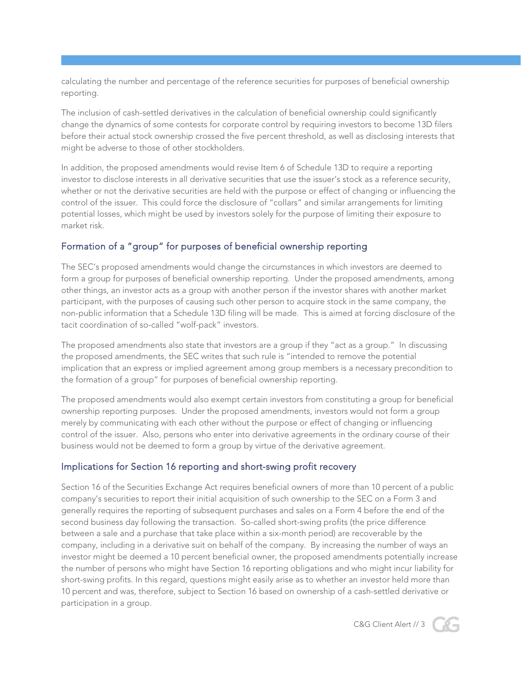calculating the number and percentage of the reference securities for purposes of beneficial ownership reporting.

The inclusion of cash-settled derivatives in the calculation of beneficial ownership could significantly change the dynamics of some contests for corporate control by requiring investors to become 13D filers before their actual stock ownership crossed the five percent threshold, as well as disclosing interests that might be adverse to those of other stockholders.

In addition, the proposed amendments would revise Item 6 of Schedule 13D to require a reporting investor to disclose interests in all derivative securities that use the issuer's stock as a reference security, whether or not the derivative securities are held with the purpose or effect of changing or influencing the control of the issuer. This could force the disclosure of "collars" and similar arrangements for limiting potential losses, which might be used by investors solely for the purpose of limiting their exposure to market risk.

## Formation of a "group" for purposes of beneficial ownership reporting

The SEC's proposed amendments would change the circumstances in which investors are deemed to form a group for purposes of beneficial ownership reporting. Under the proposed amendments, among other things, an investor acts as a group with another person if the investor shares with another market participant, with the purposes of causing such other person to acquire stock in the same company, the non-public information that a Schedule 13D filing will be made. This is aimed at forcing disclosure of the tacit coordination of so-called "wolf-pack" investors.

The proposed amendments also state that investors are a group if they "act as a group." In discussing the proposed amendments, the SEC writes that such rule is "intended to remove the potential implication that an express or implied agreement among group members is a necessary precondition to the formation of a group" for purposes of beneficial ownership reporting.

The proposed amendments would also exempt certain investors from constituting a group for beneficial ownership reporting purposes. Under the proposed amendments, investors would not form a group merely by communicating with each other without the purpose or effect of changing or influencing control of the issuer. Also, persons who enter into derivative agreements in the ordinary course of their business would not be deemed to form a group by virtue of the derivative agreement.

### Implications for Section 16 reporting and short-swing profit recovery

Section 16 of the Securities Exchange Act requires beneficial owners of more than 10 percent of a public company's securities to report their initial acquisition of such ownership to the SEC on a Form 3 and generally requires the reporting of subsequent purchases and sales on a Form 4 before the end of the second business day following the transaction. So-called short-swing profits (the price difference between a sale and a purchase that take place within a six-month period) are recoverable by the company, including in a derivative suit on behalf of the company. By increasing the number of ways an investor might be deemed a 10 percent beneficial owner, the proposed amendments potentially increase the number of persons who might have Section 16 reporting obligations and who might incur liability for short-swing profits. In this regard, questions might easily arise as to whether an investor held more than 10 percent and was, therefore, subject to Section 16 based on ownership of a cash-settled derivative or participation in a group.

C&G Client Alert // 3

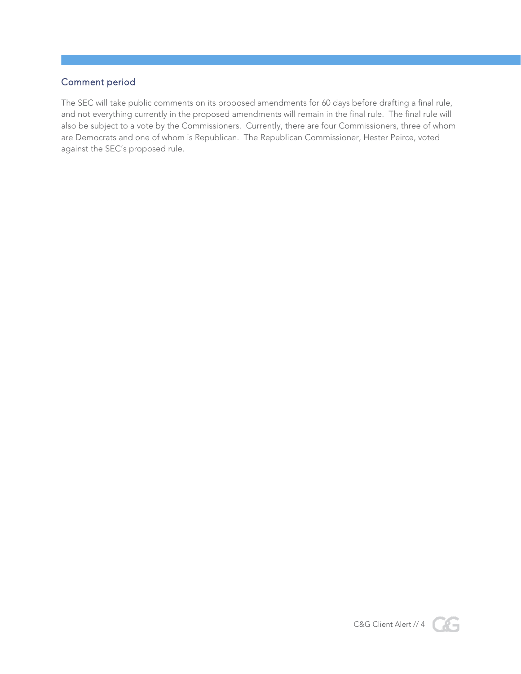## Comment period

The SEC will take public comments on its proposed amendments for 60 days before drafting a final rule, and not everything currently in the proposed amendments will remain in the final rule. The final rule will also be subject to a vote by the Commissioners. Currently, there are four Commissioners, three of whom are Democrats and one of whom is Republican. The Republican Commissioner, Hester Peirce, voted against the SEC's proposed rule.